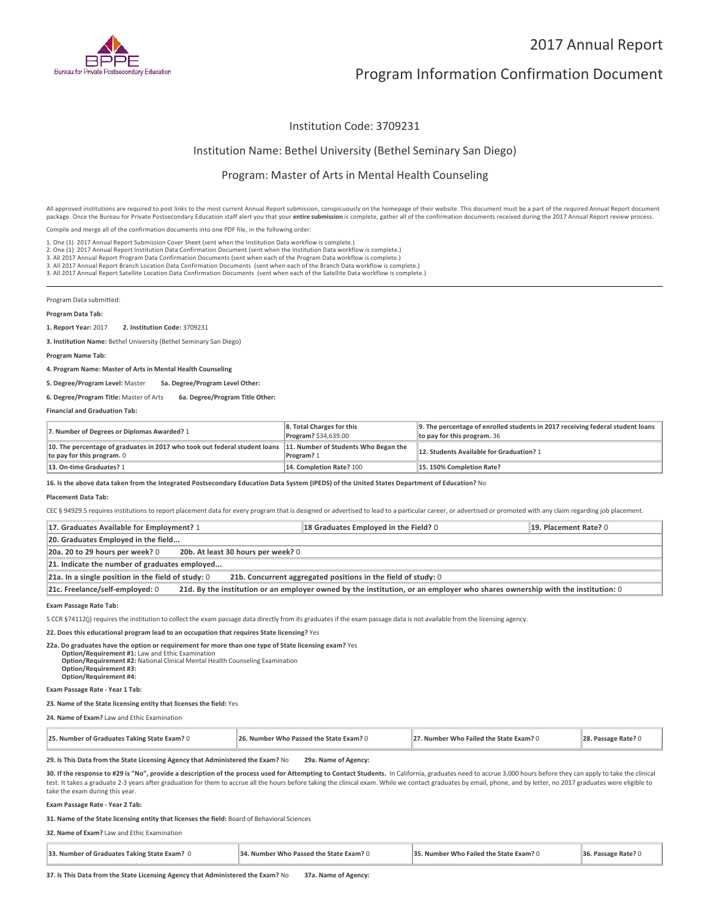

## 2017 Annual Report

# Program Information Confirmation Document

### Institution Code: 3709231

### Institution Name: Bethel University (Bethel Seminary San Diego)

### Program: Master of Arts in Mental Health Counseling

All approved institutions are required to post links to the most current Annual Report submission, conspicuously on the homepage of their website. This document must be a part of the required Annual Report document package. Once the Bureau for Private Postsecondary Education staff alert you that your **entire submission** is complete, gather all of the confirmation documents received during the 2017 Annual Report review process.

Compile and merge all of the confirmation documents into one PDF file, in the following order:

1. One (1) 2017 Annual Report Submission Cover Sheet (sent when the Institution Data workflow is complete.)

1. One (1) 2017 Annual Report Submission Cover Sheet (sent when the Institution Data workflow is complete.)<br>2. One (1) 2017 Annual Report Institution Data Confirmation Document (sent when the Institution Data workflow is c

3. All 2017 Annual Report Branch Location Data Confirmation Documents (sent when each of the Branch Data workflow is complete.)

3. All 2017 Annual Report Satellite Location Data Confirmation Documents (sent when each of the Satellite Data workflow is complete.)

Program Data submitted:

#### **Program Data Tab:**

**1. Report Year:** 2017 **2. Institution Code:** <sup>3709231</sup>

**3. Institution Name:** Bethel University (Bethel Seminary San Diego)

**Program Name Tab:**

**4. Program Name: Master of Arts in Mental Health Counseling**

**5. Degree/Program Level:** Master **5a. Degree/Program Level Other:**

#### **6. Degree/Program Title:** Master of Arts **6a. Degree/Program Title Other:**

**Financial and Graduation Tab:**

| 7. Number of Degrees or Diplomas Awarded? 1                                                                                                   | 8. Total Charges for this<br><b>Program? \$34,639.00</b> | 9. The percentage of enrolled students in 2017 receiving federal student loans<br>to pay for this program. 36 |
|-----------------------------------------------------------------------------------------------------------------------------------------------|----------------------------------------------------------|---------------------------------------------------------------------------------------------------------------|
| 10. The percentage of graduates in 2017 who took out federal student loans 11. Number of Students Who Began the<br>to pay for this program. 0 | Program? 1                                               | 12. Students Available for Graduation? 1                                                                      |
| 13. On-time Graduates? 1                                                                                                                      | 14. Completion Rate? 100                                 | 15.150% Completion Rate?                                                                                      |

**16. Is the above data taken from the Integrated Postsecondary Education Data System (IPEDS) of the United States Department of Education?** No

#### **Placement Data Tab:**

CEC § 94929.5 requires institutions to report placement data for every program that is designed or advertised to lead to a particular career, or advertised or promoted with any claim regarding job placement.

| 17. Graduates Available for Employment? 1                                                                                                                       | 18 Graduates Employed in the Field? 0 | 19. Placement Rate? 0 |  |
|-----------------------------------------------------------------------------------------------------------------------------------------------------------------|---------------------------------------|-----------------------|--|
| 20. Graduates Employed in the field                                                                                                                             |                                       |                       |  |
| 20a. 20 to 29 hours per week? 0<br>20b. At least 30 hours per week? 0                                                                                           |                                       |                       |  |
| 21. Indicate the number of graduates employed                                                                                                                   |                                       |                       |  |
| 21a. In a single position in the field of study: $0$<br>21b. Concurrent aggregated positions in the field of study: 0                                           |                                       |                       |  |
| 21d. By the institution or an employer owned by the institution, or an employer who shares ownership with the institution: 0<br>21c. Freelance/self-employed: 0 |                                       |                       |  |

**Exam Passage Rate Tab:**

5 CCR §74112(j) requires the institution to collect the exam passage data directly from its graduates if the exam passage data is not available from the licensing agency.

**22. Does this educational program lead to an occupation that requires State licensing?** Yes

**22a. Do graduates have the option or requirement for more than one type of State licensing exam?** Yes **Option/Requirement #1:** Law and Ethic Examination **Option/Requirement #2:** National Clinical Mental Health Counseling Examination **Option/Requirement #3: Option/Requirement #4:**

**Exam Passage Rate - Year 1 Tab:**

#### **23. Name of the State licensing entity that licenses the field:** Yes

**24. Name of Exam?** Law and Ethic Examination

| 25. Number of Graduates Taking State Exam? 0 | 26. Number Who Passed the State Exam? 0 | 27. Number Who Failed the State Exam? 0 | 28. Passage Rate? 0 |
|----------------------------------------------|-----------------------------------------|-----------------------------------------|---------------------|
|----------------------------------------------|-----------------------------------------|-----------------------------------------|---------------------|

### **29. Is This Data from the State Licensing Agency that Administered the Exam?** No **29a. Name of Agency:**

**30. If the response to #29 is "No", provide a description of the process used for Attempting to Contact Students.** In California, graduates need to accrue 3,000 hours before they can apply to take the clinical test. It takes a graduate 2-3 years after graduation for them to accrue all the hours before taking the clinical exam. While we contact graduates by email, phone, and by letter, no 2017 graduates were eligible to take the exam during this year.

**Exam Passage Rate - Year 2 Tab:**

**31. Name of the State licensing entity that licenses the field:** Board of Behavioral Sciences

#### **32. Name of Exam?** Law and Ethic Examination

| 33. Number of Graduates Taking State Exam? 0 | 34. Number Who Passed the State Exam? 0 | 35. Number Who Failed the State Exam? 0 | 36. Passage Rate? 0 |
|----------------------------------------------|-----------------------------------------|-----------------------------------------|---------------------|
|                                              |                                         |                                         |                     |